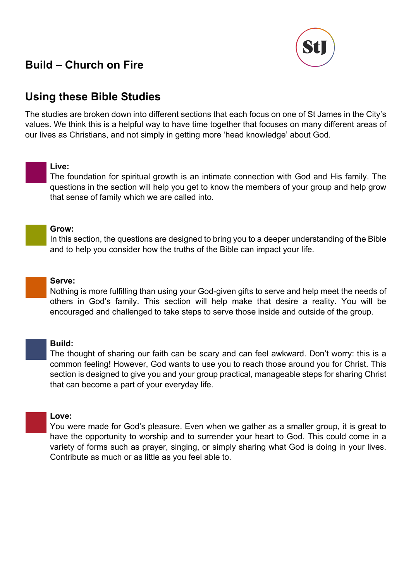

# **Using these Bible Studies**

The studies are broken down into different sections that each focus on one of St James in the City's values. We think this is a helpful way to have time together that focuses on many different areas of our lives as Christians, and not simply in getting more 'head knowledge' about God.

#### **Live:**

The foundation for spiritual growth is an intimate connection with God and His family. The questions in the section will help you get to know the members of your group and help grow that sense of family which we are called into.

#### **Grow:**

In this section, the questions are designed to bring you to a deeper understanding of the Bible and to help you consider how the truths of the Bible can impact your life.

**Serve:**

Nothing is more fulfilling than using your God-given gifts to serve and help meet the needs of others in God's family. This section will help make that desire a reality. You will be encouraged and challenged to take steps to serve those inside and outside of the group.

#### **Build:**

The thought of sharing our faith can be scary and can feel awkward. Don't worry: this is a common feeling! However, God wants to use you to reach those around you for Christ. This section is designed to give you and your group practical, manageable steps for sharing Christ that can become a part of your everyday life.

#### **Love:**

You were made for God's pleasure. Even when we gather as a smaller group, it is great to have the opportunity to worship and to surrender your heart to God. This could come in a variety of forms such as prayer, singing, or simply sharing what God is doing in your lives. Contribute as much or as little as you feel able to.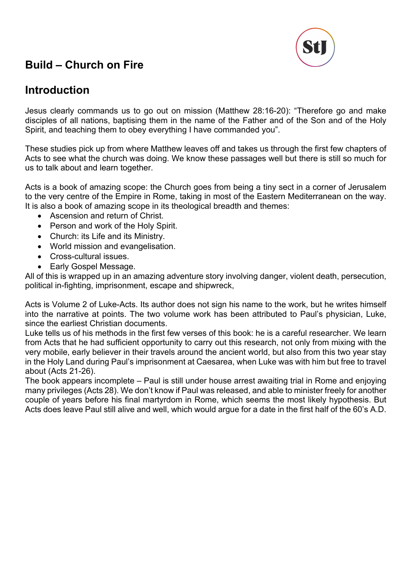

# **Introduction**

Jesus clearly commands us to go out on mission (Matthew 28:16-20): "Therefore go and make disciples of all nations, baptising them in the name of the Father and of the Son and of the Holy Spirit, and teaching them to obey everything I have commanded you".

These studies pick up from where Matthew leaves off and takes us through the first few chapters of Acts to see what the church was doing. We know these passages well but there is still so much for us to talk about and learn together.

Acts is a book of amazing scope: the Church goes from being a tiny sect in a corner of Jerusalem to the very centre of the Empire in Rome, taking in most of the Eastern Mediterranean on the way. It is also a book of amazing scope in its theological breadth and themes:

- Ascension and return of Christ.
- Person and work of the Holy Spirit.
- Church: its Life and its Ministry.
- World mission and evangelisation.
- Cross-cultural issues.
- Early Gospel Message.

All of this is wrapped up in an amazing adventure story involving danger, violent death, persecution, political in-fighting, imprisonment, escape and shipwreck,

Acts is Volume 2 of Luke-Acts. Its author does not sign his name to the work, but he writes himself into the narrative at points. The two volume work has been attributed to Paul's physician, Luke, since the earliest Christian documents.

Luke tells us of his methods in the first few verses of this book: he is a careful researcher. We learn from Acts that he had sufficient opportunity to carry out this research, not only from mixing with the very mobile, early believer in their travels around the ancient world, but also from this two year stay in the Holy Land during Paul's imprisonment at Caesarea, when Luke was with him but free to travel about (Acts 21-26).

The book appears incomplete – Paul is still under house arrest awaiting trial in Rome and enjoying many privileges (Acts 28). We don't know if Paul was released, and able to minister freely for another couple of years before his final martyrdom in Rome, which seems the most likely hypothesis. But Acts does leave Paul still alive and well, which would argue for a date in the first half of the 60's A.D.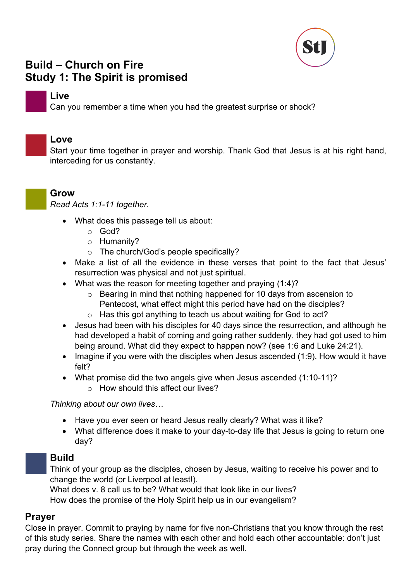

# **Build – Church on Fire Study 1: The Spirit is promised**

### **Live**

Can you remember a time when you had the greatest surprise or shock?

### **Love**

Start your time together in prayer and worship. Thank God that Jesus is at his right hand, interceding for us constantly.



*Read Acts 1:1-11 together.*

- What does this passage tell us about:
	- o God?
	- o Humanity?
	- o The church/God's people specifically?
- Make a list of all the evidence in these verses that point to the fact that Jesus' resurrection was physical and not just spiritual.
- What was the reason for meeting together and praying (1:4)?
	- o Bearing in mind that nothing happened for 10 days from ascension to Pentecost, what effect might this period have had on the disciples?
	- o Has this got anything to teach us about waiting for God to act?
- Jesus had been with his disciples for 40 days since the resurrection, and although he had developed a habit of coming and going rather suddenly, they had got used to him being around. What did they expect to happen now? (see 1:6 and Luke 24:21).
- Imagine if you were with the disciples when Jesus ascended (1:9). How would it have felt?
- What promise did the two angels give when Jesus ascended (1:10-11)?
	- o How should this affect our lives?

*Thinking about our own lives…*

- Have you ever seen or heard Jesus really clearly? What was it like?
- What difference does it make to your day-to-day life that Jesus is going to return one day?

# **Build**

Think of your group as the disciples, chosen by Jesus, waiting to receive his power and to change the world (or Liverpool at least!).

What does v. 8 call us to be? What would that look like in our lives?

How does the promise of the Holy Spirit help us in our evangelism?

# **Prayer**

Close in prayer. Commit to praying by name for five non-Christians that you know through the rest of this study series. Share the names with each other and hold each other accountable: don't just pray during the Connect group but through the week as well.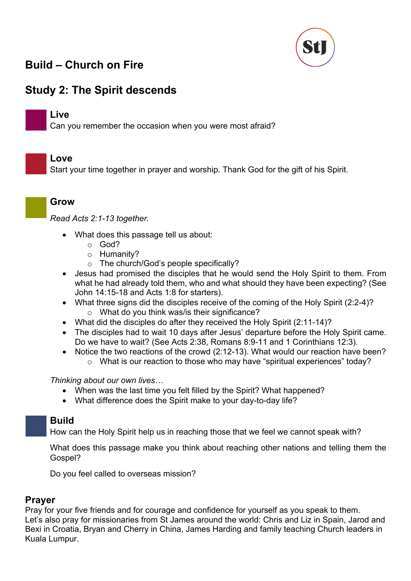

# **Study 2: The Spirit descends**

### **Live**

Can you remember the occasion when you were most afraid?

### **Love**

Start your time together in prayer and worship. Thank God for the gift of his Spirit.

### **Grow**

*Read Acts 2:1-13 together.* 

- What does this passage tell us about:
	- o God?
	- o Humanity?
	- o The church/God's people specifically?
- Jesus had promised the disciples that he would send the Holy Spirit to them. From what he had already told them, who and what should they have been expecting? (See John 14:15-18 and Acts 1:8 for starters).
- What three signs did the disciples receive of the coming of the Holy Spirit (2:2-4)? o What do you think was/is their significance?
- What did the disciples do after they received the Holy Spirit (2:11-14)?
- The disciples had to wait 10 days after Jesus' departure before the Holy Spirit came. Do we have to wait? (See Acts 2:38, Romans 8:9-11 and 1 Corinthians 12:3).
- Notice the two reactions of the crowd (2:12-13). What would our reaction have been? o What is our reaction to those who may have "spiritual experiences" today?

*Thinking about our own lives…*

- When was the last time you felt filled by the Spirit? What happened?
- What difference does the Spirit make to your day-to-day life?

# **Build**

How can the Holy Spirit help us in reaching those that we feel we cannot speak with?

What does this passage make you think about reaching other nations and telling them the Gospel?

Do you feel called to overseas mission?

### **Prayer**

Pray for your five friends and for courage and confidence for yourself as you speak to them. Let's also pray for missionaries from St James around the world: Chris and Liz in Spain, Jarod and Bexi in Croatia, Bryan and Cherry in China, James Harding and family teaching Church leaders in Kuala Lumpur.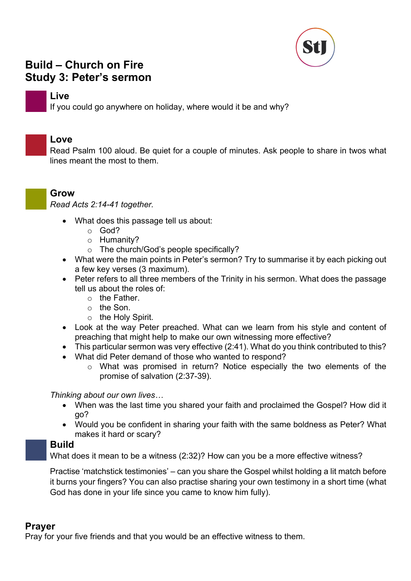

# **Build – Church on Fire Study 3: Peter's sermon**

### **Live**

If you could go anywhere on holiday, where would it be and why?

### **Love**

Read Psalm 100 aloud. Be quiet for a couple of minutes. Ask people to share in twos what lines meant the most to them.



*Read Acts 2:14-41 together.* 

- What does this passage tell us about:
	- o God?
	- o Humanity?
	- o The church/God's people specifically?
- What were the main points in Peter's sermon? Try to summarise it by each picking out a few key verses (3 maximum).
- Peter refers to all three members of the Trinity in his sermon. What does the passage tell us about the roles of:
	- o the Father.
	- o the Son.
	- o the Holy Spirit.
- Look at the way Peter preached. What can we learn from his style and content of preaching that might help to make our own witnessing more effective?
- This particular sermon was very effective (2:41). What do you think contributed to this?
- What did Peter demand of those who wanted to respond?
	- o What was promised in return? Notice especially the two elements of the promise of salvation (2:37-39).

#### *Thinking about our own lives…*

- When was the last time you shared your faith and proclaimed the Gospel? How did it go?
- Would you be confident in sharing your faith with the same boldness as Peter? What makes it hard or scary?

# **Build**

What does it mean to be a witness (2:32)? How can you be a more effective witness?

Practise 'matchstick testimonies' – can you share the Gospel whilst holding a lit match before it burns your fingers? You can also practise sharing your own testimony in a short time (what God has done in your life since you came to know him fully).

# **Prayer**

Pray for your five friends and that you would be an effective witness to them.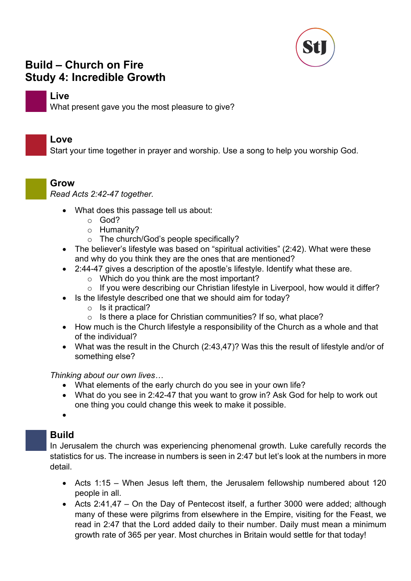

# **Build – Church on Fire Study 4: Incredible Growth**

### **Live**

What present gave you the most pleasure to give?

### **Love**

Start your time together in prayer and worship. Use a song to help you worship God.

### **Grow**

*Read Acts 2:42-47 together.*

- What does this passage tell us about:
	- o God?
	- o Humanity?
	- o The church/God's people specifically?
- The believer's lifestyle was based on "spiritual activities" (2:42). What were these and why do you think they are the ones that are mentioned?
- 2:44-47 gives a description of the apostle's lifestyle. Identify what these are.
	- o Which do you think are the most important?
	- o If you were describing our Christian lifestyle in Liverpool, how would it differ?
- Is the lifestyle described one that we should aim for today?
	- o Is it practical?
	- $\circ$  Is there a place for Christian communities? If so, what place?
- How much is the Church lifestyle a responsibility of the Church as a whole and that of the individual?
- What was the result in the Church (2:43,47)? Was this the result of lifestyle and/or of something else?

#### *Thinking about our own lives…*

- What elements of the early church do you see in your own life?
- What do you see in 2:42-47 that you want to grow in? Ask God for help to work out one thing you could change this week to make it possible.

•

### **Build**

In Jerusalem the church was experiencing phenomenal growth. Luke carefully records the statistics for us. The increase in numbers is seen in 2:47 but let's look at the numbers in more detail.

- Acts 1:15 When Jesus left them, the Jerusalem fellowship numbered about 120 people in all.
- Acts 2:41,47 On the Day of Pentecost itself, a further 3000 were added; although many of these were pilgrims from elsewhere in the Empire, visiting for the Feast, we read in 2:47 that the Lord added daily to their number. Daily must mean a minimum growth rate of 365 per year. Most churches in Britain would settle for that today!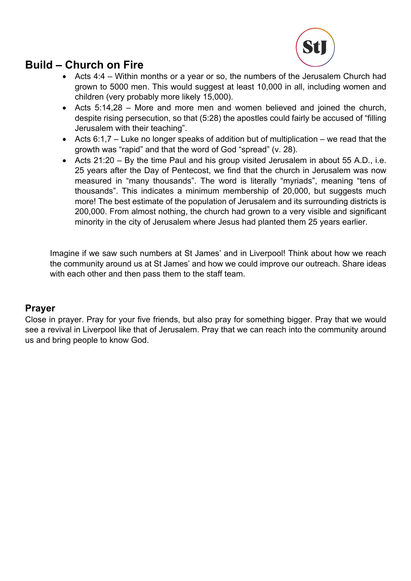

- Acts 4:4 Within months or a year or so, the numbers of the Jerusalem Church had grown to 5000 men. This would suggest at least 10,000 in all, including women and children (very probably more likely 15,000).
- Acts 5:14,28 More and more men and women believed and joined the church, despite rising persecution, so that (5:28) the apostles could fairly be accused of "filling Jerusalem with their teaching".
- Acts  $6:1,7$  Luke no longer speaks of addition but of multiplication we read that the growth was "rapid" and that the word of God "spread" (v. 28).
- Acts 21:20 By the time Paul and his group visited Jerusalem in about 55 A.D., i.e. 25 years after the Day of Pentecost, we find that the church in Jerusalem was now measured in "many thousands". The word is literally "myriads", meaning "tens of thousands". This indicates a minimum membership of 20,000, but suggests much more! The best estimate of the population of Jerusalem and its surrounding districts is 200,000. From almost nothing, the church had grown to a very visible and significant minority in the city of Jerusalem where Jesus had planted them 25 years earlier.

Imagine if we saw such numbers at St James' and in Liverpool! Think about how we reach the community around us at St James' and how we could improve our outreach. Share ideas with each other and then pass them to the staff team.

# **Prayer**

Close in prayer. Pray for your five friends, but also pray for something bigger. Pray that we would see a revival in Liverpool like that of Jerusalem. Pray that we can reach into the community around us and bring people to know God.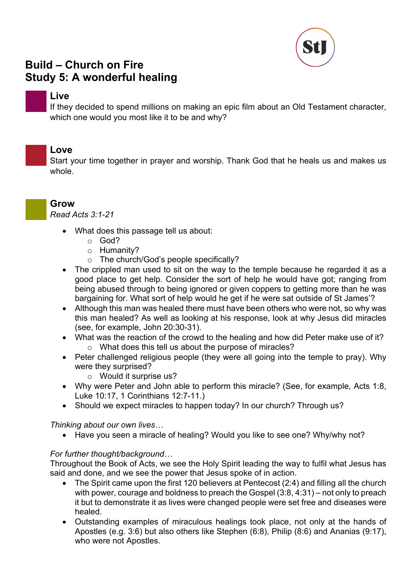

# **Build – Church on Fire Study 5: A wonderful healing**

### **Live**

If they decided to spend millions on making an epic film about an Old Testament character, which one would you most like it to be and why?

### **Love**

Start your time together in prayer and worship. Thank God that he heals us and makes us whole.

**Grow**

*Read Acts 3:1-21*

- What does this passage tell us about:
	- o God?
	- o Humanity?
	- o The church/God's people specifically?
- The crippled man used to sit on the way to the temple because he regarded it as a good place to get help. Consider the sort of help he would have got; ranging from being abused through to being ignored or given coppers to getting more than he was bargaining for. What sort of help would he get if he were sat outside of St James'?
- Although this man was healed there must have been others who were not, so why was this man healed? As well as looking at his response, look at why Jesus did miracles (see, for example, John 20:30-31).
- What was the reaction of the crowd to the healing and how did Peter make use of it? o What does this tell us about the purpose of miracles?
- Peter challenged religious people (they were all going into the temple to pray). Why were they surprised?
	- o Would it surprise us?
- Why were Peter and John able to perform this miracle? (See, for example, Acts 1:8, Luke 10:17, 1 Corinthians 12:7-11.)
- Should we expect miracles to happen today? In our church? Through us?

#### *Thinking about our own lives…*

• Have you seen a miracle of healing? Would you like to see one? Why/why not?

#### *For further thought/background…*

Throughout the Book of Acts, we see the Holy Spirit leading the way to fulfil what Jesus has said and done, and we see the power that Jesus spoke of in action.

- The Spirit came upon the first 120 believers at Pentecost (2:4) and filling all the church with power, courage and boldness to preach the Gospel (3:8, 4:31) – not only to preach it but to demonstrate it as lives were changed people were set free and diseases were healed.
- Outstanding examples of miraculous healings took place, not only at the hands of Apostles (e.g. 3:6) but also others like Stephen (6:8), Philip (8:6) and Ananias (9:17), who were not Apostles.